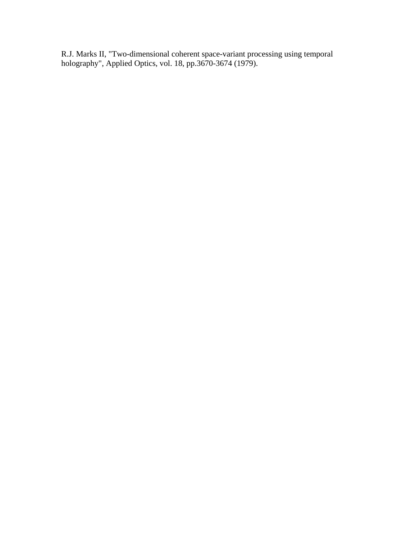R.J. Marks II, "Two-dimensional coherent space-variant processing using temporal holography", Applied Optics, vol. 18, pp.3670-3674 (1979).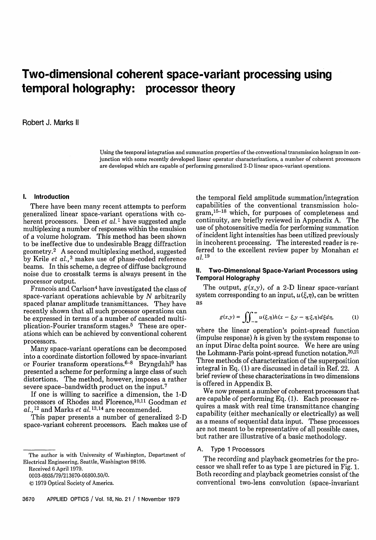# Two-dimensional coherent space-variant processing using temporal holography: processor theory

Robert J. Marks II

Using the temporal integration and summation properties of the conventional transmission hologram in conjunction with some recently developed linear operator characterizations, a number of coherent processors are developed which are capable of performing generalized 2-D linear space-variant operations.

#### **1. Introduction**

There have been many recent attempts to perform generalized linear space-variant operations with coherent processors. Deen *et al.*<sup>1</sup> have suggested angle multiplexing a number of responses within the emulsion of a volume hologram. This method has been shown to be ineffective due to undesirable Bragg diffraction geometry. <sup>2</sup> A second multiplexing method, suggested by Krile et *al.,3* makes use of phase-coded reference beams. In this scheme, a degree of diffuse background noise due to crosstalk terms is always present in the processor output.

Francois and Carlson<sup>4</sup> have investigated the class of space-variant operations achievable by  $N$  arbitrarily spaced planar amplitude transmittances. They have recently shown that all such processor operations can be expressed in terms of a number of cascaded multiplication-Fourier transform stages.<sup>5</sup> These are operations which can be achieved by conventional coherent processors.

Many space-variant operations can be decomposed into a coordinate distortion followed by space-invariant or Fourier transform operations. $6-8$  Bryngdahl<sup>9</sup> has presented a scheme for performing a large class of such distortions. The method, however, imposes a rather severe space-bandwidth product on the input.7

If one is willing to sacrifice a dimension, the 1-D processors of Rhodes and Florence,<sup>10,11</sup> Goodman et  $a$ *l.,*  $^{12}$  and Marks *et al.*  $^{13,14}$  are recommended

This paper presents a number of generalized 2-D space-variant coherent processors. Each makes use of

The author is with University of Washington, Department of Electrical Engineering, Seattle, Washington 98195.

Received 6 April 1979.

0003-6935/79/213670-05\$00.50/0.

C) 1979 Optical Society of America.

the temporal field amplitude summation/integration capabilities of the conventional transmission hologram,15- <sup>18</sup> which, for purposes of completeness and continuity, are briefly reviewed in Appendix A. The use of photosensitive media for performing summation of incident light intensities has been utilized previously in incoherent processing. The interested reader is referred to the excellent review paper by Monahan et *al.* <sup>19</sup>

#### 11. **Two-Dimensional Space-Variant Processors using Temporal Holography**

The output,  $g(x,y)$ , of a 2-D linear space-variant system corresponding to an input,  $u(\xi,\eta)$ , can be written as

$$
g(x,y) = \iint_{-\infty}^{\infty} u(\xi,\eta)h(x-\xi,y-\eta;\xi,\eta)d\xi d\eta, \tag{1}
$$

where the linear operation's point-spread function (impulse response)  $h$  is given by the system response to an input Dirac delta point source. We here are using the Lohmann-Paris point-spread function notation. $20,21$ Three methods of characterization of the superposition integral in Eq. (1) are discussed in detail in Ref. 22. A brief review of these characterizations in two dimensions is offered in Appendix B.

We now present a number of coherent processors that are capable of performing Eq. (1). Each processor requires a mask with real time transmittance changing capability (either mechanically or electrically) as well as a means of sequential data input. These processors are not meant to be representative of all possible cases, but rather are illustrative of a basic methodology.

## A. Type 1 Processors

The recording and playback geometries for the processor we shall refer to as type 1 are pictured in Fig. 1. Both recording and playback geometries consist of the conventional two-lens convolution (space-invariant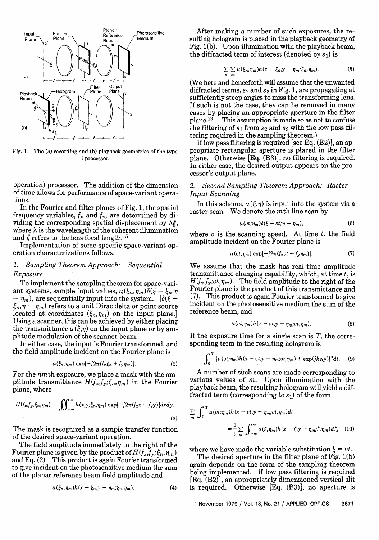

Fig. 1. The (a) recording and (b) playback geometries of the type 1 processor.

operation) processor. The addition of the dimension of time allows for performance of space-variant operations.

In the Fourier and filter planes of Fig. 1, the spatial frequency variables,  $f_x$  and  $f_y$ , are determined by dividing the corresponding spatial displacement by  $\lambda$ g, where  $\lambda$  is the wavelength of the coherent illumination and  $f$  refers to the lens focal length.<sup>15</sup>

Implementation of some specific space-variant operation characterizations follows.

# *1. Sampling Theorem Approach: Sequential Exposure*

To implement the sampling theorem for space-variant systems, sample input values,  $u(\xi_n, \eta_m) \delta(\xi - \xi_n,$  $-\eta_m$ ), are sequentially input into the system. [ $\delta(\xi \xi_n, \eta - \eta_m$ ) refers to a unit Dirac delta or point source located at coordinates  $(\xi_n, \eta_m)$  on the input plane.] Using a scanner, this can be achieved by either placing the transmittance  $u(\xi, \eta)$  on the input plane or by amplitude modulation of the scanner beam.

In either case, the input is Fourier transformed, and the field amplitude incident on the Fourier plane is

$$
u(\xi_n, \eta_m) \exp[-j2\pi (f_x \xi_n + f_y \eta_m)]. \tag{2}
$$

For the nmth exposure, we place a mask with the amplitude transmittance  $H(f_x, f_y; \xi_n, \eta_m)$  in the Fourier plane, where

$$
H(f_x, f_y; \xi_n, \eta_m) = \iiint_{-\infty}^{\infty} h(x, y; \xi_n, \eta_m) \exp[-j2\pi(f_x x + f_y y)] dx dy.
$$
\n(3)

The mask is recognized as a sample transfer function of the desired space-variant operation.

The field amplitude immediately to the right of the Fourier plane is given by the product of  $H(f_x, f_y; \xi_n, \eta_m)$ and Eq. (2). This product is again Fourier transformed to give incident on the photosensitive medium the sum of the planar reference beam field amplitude and

$$
u(\xi_n, \eta_m)h(x-\xi_n, y-\eta_m; \xi_n, \eta_m). \tag{4}
$$

After making a number of such exposures, the resulting hologram is placed in the playback geometry of Fig. 1(b). Upon illumination with the playback beam, the diffracted term of interest (denoted by  $s_1$ ) is

$$
\sum_{n} \sum_{m} u(\xi_n, \eta_m) h(x - \xi_n, y - \eta_m; \xi_n, \eta_m).
$$
 (5)

(We here and henceforth will assume that the unwanted diffracted terms, **S2** and *S3* in Fig. 1, are propagating at sufficiently steep angles to miss the transforming lens. If such is not the case, they can be removed in many cases by placing an appropriate aperture in the filter plane.<sup>13</sup> This assumption is made so as not to confuse This assumption is made so as not to confuse the filtering of  $s_1$  from  $s_2$  and  $s_3$  with the low pass filtering required in the sampling theorem.)

If low pass filtering is required [see Eq. (B2)], an appropriate rectangular aperture is placed in the filter plane. Otherwise [Eq. (B3)], no filtering is required. In either case, the desired output appears on the processor's output plane.

# *2. Second Sampling Theorem Approach: Raster Input Scanning*

In this scheme,  $u(\xi, \eta)$  is input into the system via a raster scan. We denote the mth line scan by

$$
u(vt;\eta_m)\delta(\xi-vt;\eta-\eta_m),\qquad \qquad (6)
$$

where  $v$  is the scanning speed. At time  $t$ , the field amplitude incident on the Fourier plane is

$$
u(vt;\eta_m) \exp[-j2\pi \langle f_x vt + f_y \eta_m \rangle]. \tag{7}
$$

We assume that the mask has real-time amplitude transmittance changing capability, which, at time  $t$ , is  $H(f_x, f_y; vt, \eta_m)$ . The field amplitude to the right of the Fourier plane is the product of this transmittance and (7). This product is again Fourier transformed to give incident on the photosensitive medium the sum of the reference beam, and

$$
u(vt;\eta_m)h(x-vt,y-\eta_m;vt,\eta_m). \tag{8}
$$

If the exposure time for a single scan is *T,* the corresponding term in the resulting hologram is

$$
\int_0^T |u(vt;\eta_m)h(x-vt,y-\eta_m;vt,\eta_m)+\exp(jk\alpha y)|^2dt. \quad (9)
$$

A number of such scans are made corresponding to various values of  $m$ . Upon illumination with the playback beam, the resulting hologram will yield a diffracted term (corresponding to *s)* of the form

$$
\sum_{m} \int_{0}^{T} u(vt; \eta_{m}) h(x - vt, y - \eta_{m}, vt, \eta_{m}) dt
$$
  
= 
$$
\frac{1}{v} \sum_{m} \int_{-\infty}^{\infty} u(\xi, \eta_{m}) h(x - \xi, y - \eta_{m}; \xi, \eta_{m}) d\xi,
$$
 (10)

where we have made the variable substitution  $\xi = vt$ .

The desired aperture in the filter plane of Fig. 1(b) again depends on the form of the sampling theorem being implemented. If low pass filtering is required [Eq. (B2)], an appropriately dimensioned vertical slit is required. Otherwise  $[Eq. (B3)],$  no aperture is

1 November 1979 / Vol. 18, No. 21 / APPLIED OPTICS 3671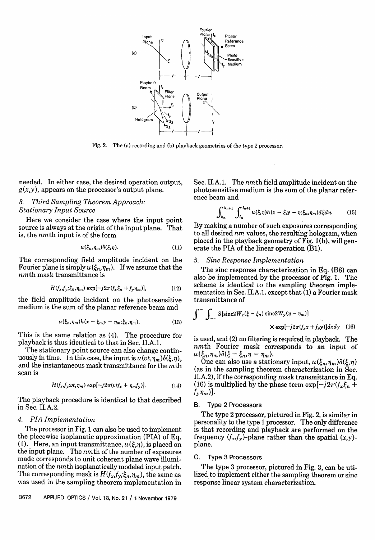

Fig. 2. The (a) recording and (b) playback geometries of the type 2 processor.

needed. In either case, the desired operation output,  $g(x,y)$ , appears on the processor's output plane.

# *3. Third Sampling Theorem Approach: Stationary Input Source*

Here we consider the case where the input point source is always at the origin of the input plane. That is, the nmth input is of the form

$$
u(\xi_n, \eta_m)\delta(\xi, \eta). \tag{11}
$$

The corresponding field amplitude incident on the Fourier plane is simply  $u(\xi_n,\eta_m)$ . If we assume that the  $nmt$ h mask transmittance is

$$
H(fx, fy; \xin, \etam) \exp[-j2\pi(fx \xin + fy \etam)],
$$
 (12)

the field amplitude incident on the photosensitive medium is the sum of the planar reference beam and

$$
u(\xi_n, \eta_m)h(x - \xi_n, y - \eta_m; \xi_n, \eta_m). \tag{13}
$$

This is the same relation as (4). The procedure for playback is thus identical to that in Sec. II.A.1.

The stationary point source can also change continuously in time. In this case, the input is  $u(v_t,\eta_m)\delta(\xi,\eta)$ , and the instantaneous mask transmittance for the mth scan is

$$
H(f_x, f_y; vt, \eta_m) \exp[-j2\pi(vtf_x + \eta_m f_y)], \qquad (14)
$$

The playback procedure is identical to that described in Sec. II.A.2.

#### *4. PIA Implementation*

The processor in Fig. 1 can also be used to implement the piecewise isoplanatic approximation (PIA) of Eq. (1). Here, an input transmittance,  $u(\xi,\eta)$ , is placed on the input plane. The *nmth* of the number of exposures made corresponds to unit coherent plane wave illumination of the nmth isoplanatically modeled input patch. The corresponding mask is  $H(f_x, f_y; \xi_n, \eta_m)$ , the same as was used in the sampling theorem implementation in Sec. II.A.1. The *nm*th field amplitude incident on the photosensitive medium is the sum of the planar reference beam and

$$
\int_{k_n}^{k_{n+1}} \int_{l_n}^{l_{n+1}} u(\xi, \eta) h(x - \xi, y - \eta; \xi_n, \eta_m) d\xi d\eta.
$$
 (15)

By making a number of such exposures corresponding to all desired *nm* values, the resulting hologram, when placed in the playback geometry of  $\overline{Fig. 1(b)}$ , will generate the PIA of the linear operation (Bi).

#### *5. Sinc Response Implementation*

The sinc response characterization in Eq. (B8) can also be implemented by the processor of Fig. 1. The scheme is identical to the sampling theorem implementation in Sec. II.A.1. except that (1) a Fourier mask transmittance of

$$
\int_{-\infty}^{\infty} \int_{-\infty}^{\infty} S[\operatorname{sinc}2W_x(\xi - \xi_n) \operatorname{sinc}2W_y(\eta - \eta_m)] \times \exp[-j2\pi(f_x x + f_y y)]dxdy \quad (16)
$$

is used, and (2) no filtering is required in playback. The nmth Fourier mask corresponds to an input of  $u(\xi_n, \eta_m)\delta(\xi - \xi_n, \eta - \eta_m)$ 

One can also use a stationary input,  $u(\xi_n, \eta_m)\delta(\xi, \eta)$ (as in the sampling theorem characterization in Sec. II.A.2), if the corresponding mask transmittance in Eq. (16) is multiplied by the phase term  $\exp[-i2\pi(f_x\xi_n +$  $f_{\nu}$  $\eta_m$ )].

#### B. Type 2 Processors

The type 2 processor, pictured in Fig. 2, is similar in personality to the type 1 processor. The only difference is that recording and playback are performed on the frequency  $(f_x, f_y)$ -plane rather than the spatial  $(x, y)$ plane.

#### C. Type 3 Processors

The type 3 processor, pictured in Fig. 3, can be utilized to implement either the sampling theorem or sinc response linear system characterization.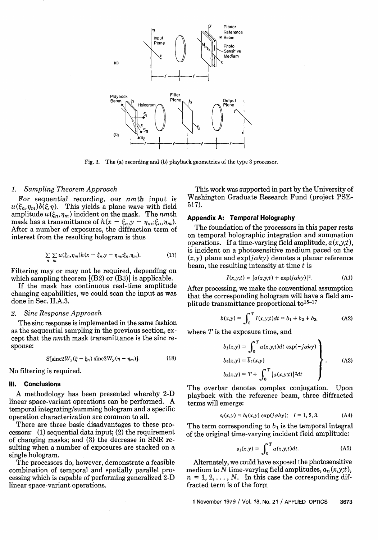

Fig. 3. The (a) recording and (b) playback geometries of the type 3 processor.

#### *1. Sampling Theorem Approach*

For sequential recording, our nmth input is  $u(\xi_n,\eta_m)\delta(\xi,\eta)$ . This yields a plane wave with field amplitude  $u(\xi_n, \eta_m)$  incident on the mask. The *nmth* mask has a transmittance of  $h(x - \xi_n, y - \eta_m; \xi_n, \eta_m)$ . After a number of exposures, the diffraction term of interest from the resulting hologram is thus

$$
\sum_{n} \sum_{m} u(\xi_n, \eta_m) h(x - \xi_n, y - \eta_m; \xi_n, \eta_m). \tag{17}
$$

Filtering may or may not be required, depending on which sampling theorem [(B2) or (B3)] is applicable.

If the mask has continuous real-time amplitude changing capabilities, we could scan the input as was done in Sec. II.A.3.

#### *2. Sinc Response Approach*

The sinc response is implemented in the same fashion as the sequential sampling in the previous section, except that the nmth mask transmittance is the sinc response:

$$
S[\operatorname{sinc}2W_x(\xi-\xi_n)\operatorname{sinc}2W_y(\eta-\eta_m)].\tag{18}
$$

No filtering is required.

#### **Ill. Conclusions**

A methodology has been presented whereby 2-D linear space-variant operations can be performed. A temporal integrating/summing hologram and a specific operation characterization are common to all.

There are three basic disadvantages to these processors: (1) sequential data input; (2) the requirement of changing masks; and (3) the decrease in SNR resulting when a number of exposures are stacked on a single hologram.

The processors do, however, demonstrate a feasible combination of temporal and spatially parallel processing which is capable of performing generalized 2-D linear space-variant operations.

This work was supported in part by the University of Washington Graduate Research Fund (project PSE-517).

#### **Appendix A: Temporal Holography**

The foundation of the processors in this paper rests on temporal holographic integration and summation operations. If a time-varying field amplitude, *a(x,y;t),* is incident on a photosensitive medium paced on the  $(x,y)$  plane and  $exp(j\alpha ky)$  denotes a planar reference beam, the resulting intensity at time  $t$  is

$$
I(x,y;t) = |a(x,y;t) + \exp(j\alpha k y)|^2.
$$
 (A1)

After processing, we make the conventional assumption that the corresponding hologram will have a field amplitude transmittance proportional to<sup>15-17</sup>

$$
b(x,y) = \int_0^T I(x,y;t)dt = b_1 + b_2 + b_3,
$$
 (A2)

where  $T$  is the exposure time, and

$$
b_1(x,y) = \int_0^T a(x,y;t)dt \exp(-j\alpha k y)
$$
  
\n
$$
b_2(x,y) = \overline{b}_1(x,y)
$$
  
\n
$$
b_3(x,y) = T + \int_0^T |a(x,y;t)|^2 dt
$$
\n(A3)

The overbar denotes complex conjugation. Upon playback with the reference beam, three diffracted terms will emerge:

$$
s_i(x,y) = b_i(x,y) \exp(j\alpha k y); \quad i = 1, 2, 3.
$$
 (A4)

The term corresponding to  $b_1$  is the temporal integral of the original time-varying incident field amplitude:

$$
s_1(x,y) = \int_0^T a(x,y;t)dt.
$$
 (A5)

Alternately, we could have exposed the photosensitive medium to N time-varying field amplitudes,  $a_n(x,y;t)$ ,  $n = 1, 2, \ldots, N$ . In this case the corresponding diffracted term is of the form